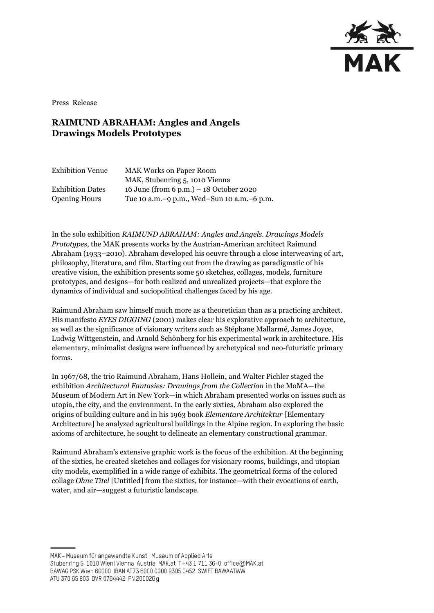

Press Release

## **RAIMUND ABRAHAM: Angles and Angels Drawings Models Prototypes**

| <b>Exhibition Venue</b> | <b>MAK Works on Paper Room</b>               |
|-------------------------|----------------------------------------------|
|                         | MAK, Stubenring 5, 1010 Vienna               |
| <b>Exhibition Dates</b> | 16 June (from 6 p.m.) $-18$ October 2020     |
| <b>Opening Hours</b>    | Tue 10 a.m. -9 p.m., Wed-Sun 10 a.m. -6 p.m. |

In the solo exhibition *RAIMUND ABRAHAM: Angles and Angels. Drawings Models Prototypes*, the MAK presents works by the Austrian-American architect Raimund Abraham (1933–2010). Abraham developed his oeuvre through a close interweaving of art, philosophy, literature, and film. Starting out from the drawing as paradigmatic of his creative vision, the exhibition presents some 50 sketches, collages, models, furniture prototypes, and designs—for both realized and unrealized projects—that explore the dynamics of individual and sociopolitical challenges faced by his age.

Raimund Abraham saw himself much more as a theoretician than as a practicing architect. His manifesto *EYES DIGGING* (2001) makes clear his explorative approach to architecture, as well as the significance of visionary writers such as Stéphane Mallarmé, James Joyce, Ludwig Wittgenstein, and Arnold Schönberg for his experimental work in architecture. His elementary, minimalist designs were influenced by archetypical and neo-futuristic primary forms.

In 1967/68, the trio Raimund Abraham, Hans Hollein, and Walter Pichler staged the exhibition *Architectural Fantasies: Drawings from the Collection* in the MoMA—the Museum of Modern Art in New York—in which Abraham presented works on issues such as utopia, the city, and the environment. In the early sixties, Abraham also explored the origins of building culture and in his 1963 book *Elementare Architektur* [Elementary Architecture] he analyzed agricultural buildings in the Alpine region. In exploring the basic axioms of architecture, he sought to delineate an elementary constructional grammar.

Raimund Abraham's extensive graphic work is the focus of the exhibition. At the beginning of the sixties, he created sketches and collages for visionary rooms, buildings, and utopian city models, exemplified in a wide range of exhibits. The geometrical forms of the colored collage *Ohne Titel* [Untitled] from the sixties, for instance—with their evocations of earth, water, and air—suggest a futuristic landscape.

MAK - Museum für angewandte Kunst | Museum of Applied Arts Stubenring 5 1010 Wien | Vienna Austria MAK.at T+43 1 711 36-0 office@MAK.at BAWAG PSK Wien 60000 IBAN AT73 6000 0000 9305 0452 SWIFT BAWAATWW ATU 370 65 803 DVR 0764442 FN 200026 g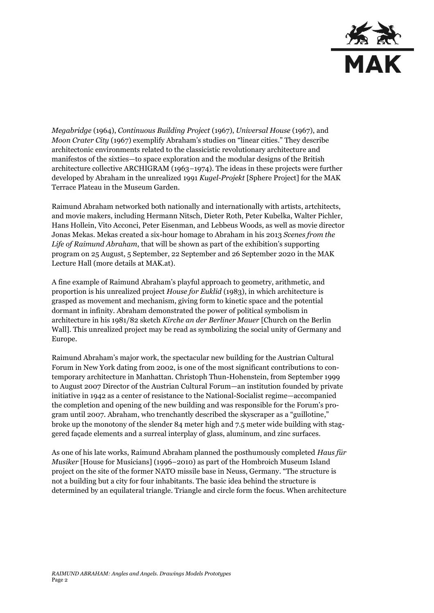

*Megabridge* (1964), *Continuous Building Project* (1967), *Universal House* (1967), and *Moon Crater City* (1967) exemplify Abraham's studies on "linear cities." They describe architectonic environments related to the classicistic revolutionary architecture and manifestos of the sixties—to space exploration and the modular designs of the British architecture collective ARCHIGRAM (1963–1974). The ideas in these projects were further developed by Abraham in the unrealized 1991 *Kugel-Projekt* [Sphere Project] for the MAK Terrace Plateau in the Museum Garden.

Raimund Abraham networked both nationally and internationally with artists, artchitects, and movie makers, including Hermann Nitsch, Dieter Roth, Peter Kubelka, Walter Pichler, Hans Hollein, Vito Acconci, Peter Eisenman, and Lebbeus Woods, as well as movie director Jonas Mekas. Mekas created a six-hour homage to Abraham in his 2013 *Scenes from the Life of Raimund Abraham*, that will be shown as part of the exhibition's supporting program on 25 August, 5 September, 22 September and 26 September 2020 in the MAK Lecture Hall (more details at MAK.at).

A fine example of Raimund Abraham's playful approach to geometry, arithmetic, and proportion is his unrealized project *House for Euklid* (1983), in which architecture is grasped as movement and mechanism, giving form to kinetic space and the potential dormant in infinity. Abraham demonstrated the power of political symbolism in architecture in his 1981/82 sketch *Kirche an der Berliner Mauer* [Church on the Berlin Wall]. This unrealized project may be read as symbolizing the social unity of Germany and Europe.

Raimund Abraham's major work, the spectacular new building for the Austrian Cultural Forum in New York dating from 2002, is one of the most significant contributions to contemporary architecture in Manhattan. Christoph Thun-Hohenstein, from September 1999 to August 2007 Director of the Austrian Cultural Forum—an institution founded by private initiative in 1942 as a center of resistance to the National-Socialist regime—accompanied the completion and opening of the new building and was responsible for the Forum's program until 2007. Abraham, who trenchantly described the skyscraper as a "guillotine," broke up the monotony of the slender 84 meter high and 7.5 meter wide building with staggered façade elements and a surreal interplay of glass, aluminum, and zinc surfaces.

As one of his late works, Raimund Abraham planned the posthumously completed *Haus für Musiker* [House for Musicians] (1996–2010) as part of the Hombroich Museum Island project on the site of the former NATO missile base in Neuss, Germany. "The structure is not a building but a city for four inhabitants. The basic idea behind the structure is determined by an equilateral triangle. Triangle and circle form the focus. When architecture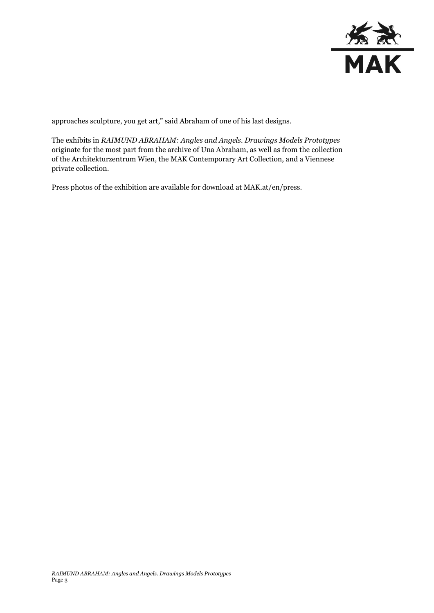

approaches sculpture, you get art," said Abraham of one of his last designs.

The exhibits in *RAIMUND ABRAHAM: Angles and Angels. Drawings Models Prototypes*  originate for the most part from the archive of Una Abraham, as well as from the collection of the Architekturzentrum Wien, the MAK Contemporary Art Collection, and a Viennese private collection.

Press photos of the exhibition are available for download at MAK.at/en/press.